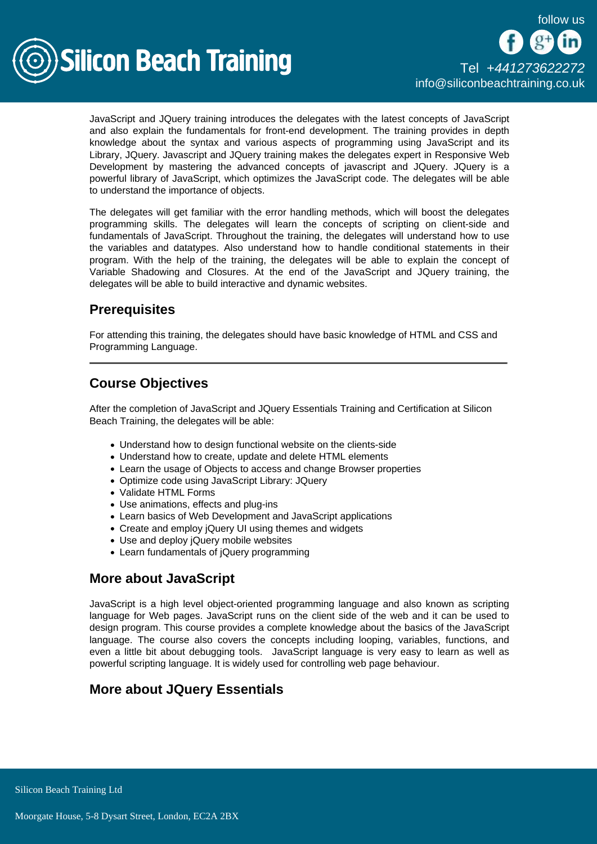

JavaScript and JQuery training introduces the delegates with the latest concepts of JavaScript and also explain the fundamentals for front-end development. The training provides in depth knowledge about the syntax and various aspects of programming using JavaScript and its Library, JQuery. Javascript and JQuery training makes the delegates expert in Responsive Web Development by mastering the advanced concepts of javascript and JQuery. JQuery is a powerful library of JavaScript, which optimizes the JavaScript code. The delegates will be able to understand the importance of objects.

The delegates will get familiar with the error handling methods, which will boost the delegates programming skills. The delegates will learn the concepts of scripting on client-side and fundamentals of JavaScript. Throughout the training, the delegates will understand how to use the variables and datatypes. Also understand how to handle conditional statements in their program. With the help of the training, the delegates will be able to explain the concept of Variable Shadowing and Closures. At the end of the JavaScript and JQuery training, the delegates will be able to build interactive and dynamic websites.

# **Prerequisites**

For attending this training, the delegates should have basic knowledge of HTML and CSS and Programming Language.

# Course Objectives

After the completion of JavaScript and JQuery Essentials Training and Certification at Silicon Beach Training, the delegates will be able:

- Understand how to design functional website on the clients-side
- Understand how to create, update and delete HTML elements
- Learn the usage of Objects to access and change Browser properties
- Optimize code using JavaScript Library: JQuery
- Validate HTML Forms
- Use animations, effects and plug-ins
- Learn basics of Web Development and JavaScript applications
- Create and employ jQuery UI using themes and widgets
- Use and deploy jQuery mobile websites
- Learn fundamentals of jQuery programming

# More about JavaScript

JavaScript is a high level object-oriented programming language and also known as scripting language for Web pages. JavaScript runs on the client side of the web and it can be used to design program. This course provides a complete knowledge about the basics of the JavaScript language. The course also covers the concepts including looping, variables, functions, and even a little bit about debugging tools. JavaScript language is very easy to learn as well as powerful scripting language. It is widely used for controlling web page behaviour.

# More about JQuery Essentials

**Silicon Beach Training Ltd**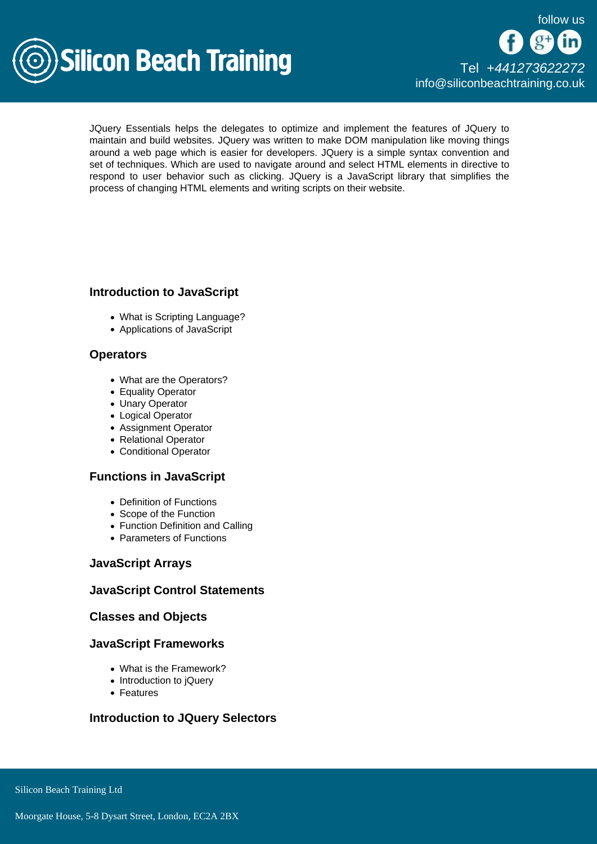

JQuery Essentials helps the delegates to optimize and implement the features of JQuery to maintain and build websites. JQuery was written to make DOM manipulation like moving things around a web page which is easier for developers. JQuery is a simple syntax convention and set of techniques. Which are used to navigate around and select HTML elements in directive to respond to user behavior such as clicking. JQuery is a JavaScript library that simplifies the process of changing HTML elements and writing scripts on their website.

### Introduction to JavaScript

- What is Scripting Language?
- Applications of JavaScript

#### **Operators**

- What are the Operators?
- Equality Operator
- Unary Operator
- Logical Operator
- Assignment Operator
- Relational Operator
- Conditional Operator

### Functions in JavaScript

- Definition of Functions
- Scope of the Function
- Function Definition and Calling
- Parameters of Functions

#### JavaScript Arrays

### JavaScript Control Statements

#### Classes and Objects

#### JavaScript Frameworks

- What is the Framework?
- Introduction to iQuery
- Features

Introduction to JQuery Selectors

Silicon Beach Training Ltd